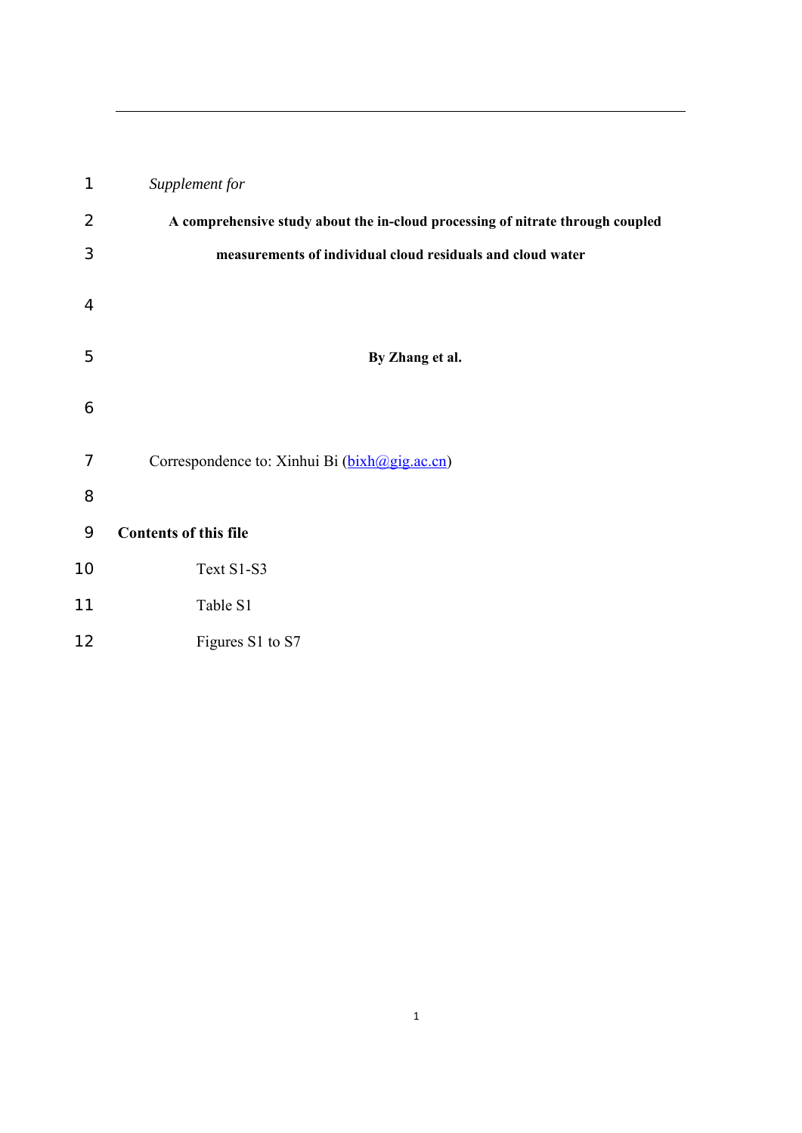| 1              | Supplement for                                                                 |
|----------------|--------------------------------------------------------------------------------|
| $\overline{2}$ | A comprehensive study about the in-cloud processing of nitrate through coupled |
| 3              | measurements of individual cloud residuals and cloud water                     |
| $\overline{4}$ |                                                                                |
| 5              | By Zhang et al.                                                                |
| 6              |                                                                                |
| 7              | Correspondence to: Xinhui Bi (bixh@gig.ac.cn)                                  |
| 8              |                                                                                |
| 9              | <b>Contents of this file</b>                                                   |
| 10             | Text S1-S3                                                                     |
| 11             | Table S1                                                                       |
| 12             | Figures S1 to S7                                                               |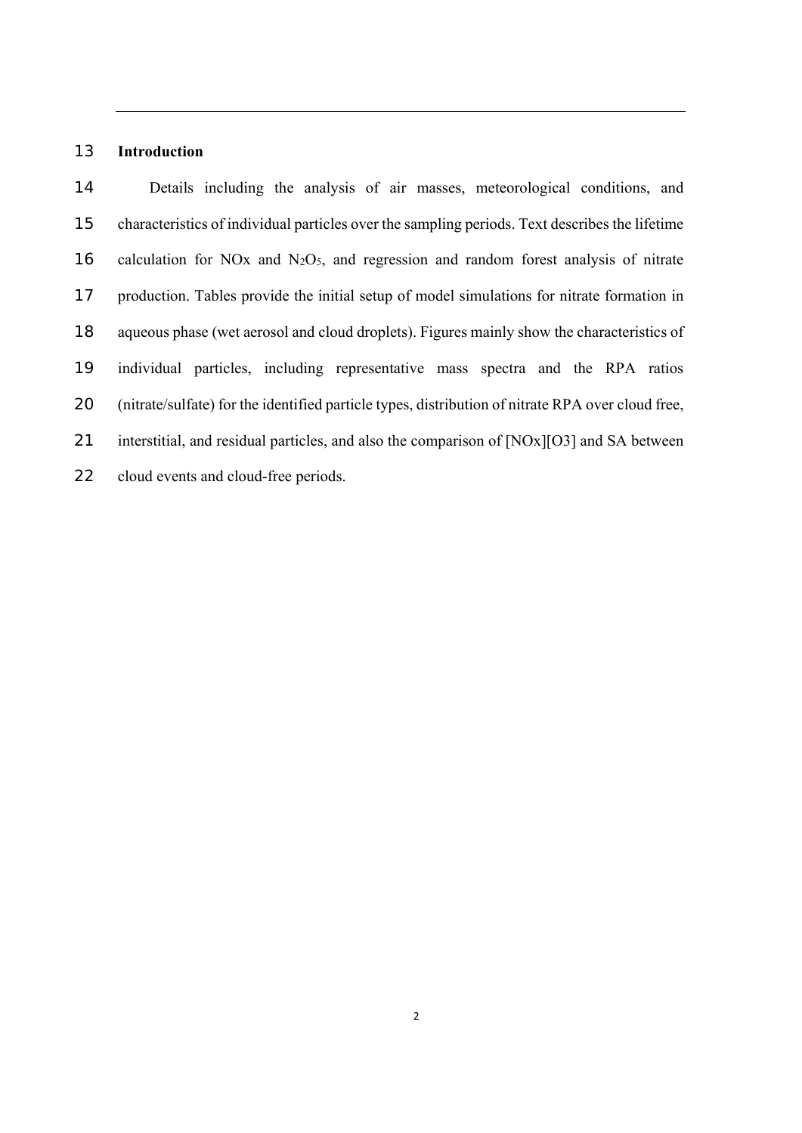### **Introduction**

Details including the analysis of air masses, meteorological conditions, and characteristics of individual particles over the sampling periods. Text describes the lifetime 16 calculation for NO<sub>x</sub> and N<sub>2</sub>O<sub>5</sub>, and regression and random forest analysis of nitrate production. Tables provide the initial setup of model simulations for nitrate formation in aqueous phase (wet aerosol and cloud droplets). Figures mainly show the characteristics of individual particles, including representative mass spectra and the RPA ratios (nitrate/sulfate) for the identified particle types, distribution of nitrate RPA over cloud free, 21 interstitial, and residual particles, and also the comparison of [NOx][O3] and SA between cloud events and cloud-free periods.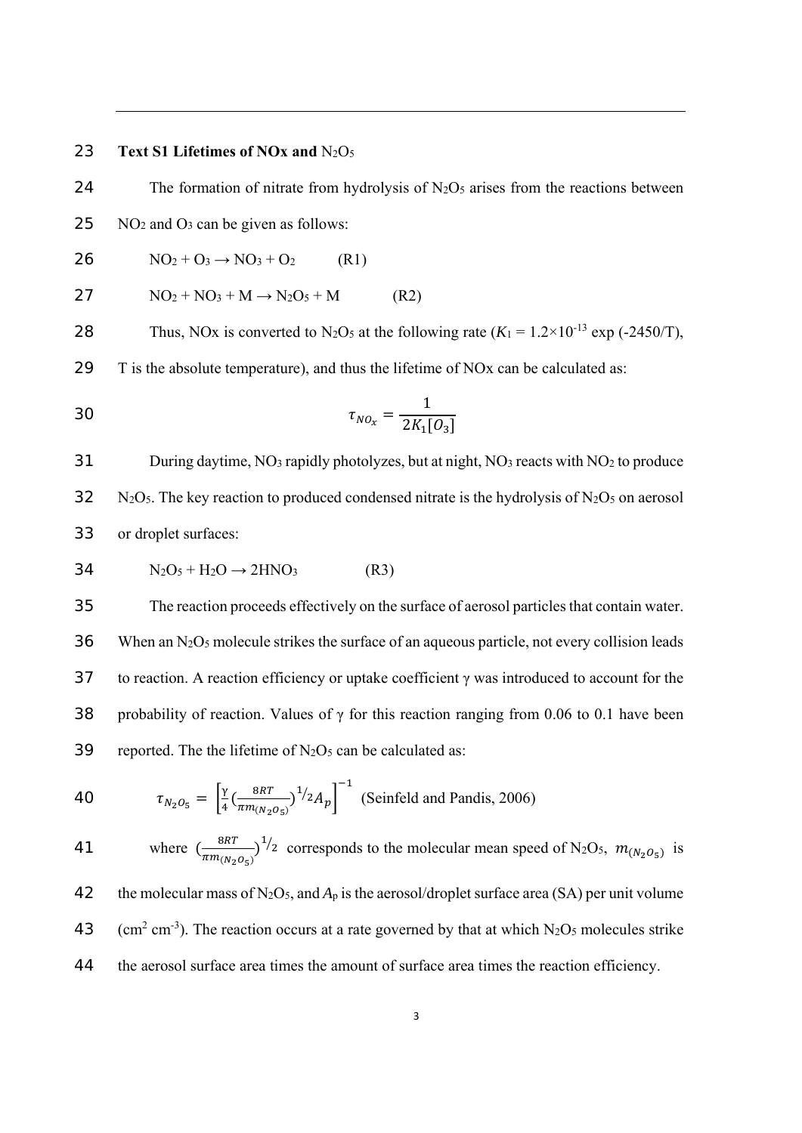#### 23 **Text S1 Lifetimes of NOx and** N2O5

24 The formation of nitrate from hydrolysis of  $N_2O_5$  arises from the reactions between

25 NO2 and O3 can be given as follows:

$$
26 \qquad NO_2 + O_3 \rightarrow NO_3 + O_2 \qquad (R1)
$$

$$
27 \t\t\t NO_2 + NO_3 + M \rightarrow N_2O_5 + M \t\t\t (R2)
$$

28 Thus, NOx is converted to N<sub>2</sub>O<sub>5</sub> at the following rate  $(K_1 = 1.2 \times 10^{-13} \text{ exp } (-2450/\text{T})$ ,

29 T is the absolute temperature), and thus the lifetime of NOx can be calculated as:

30 
$$
\tau_{NO_x} = \frac{1}{2K_1[O_3]}
$$

31 During daytime, NO3 rapidly photolyzes, but at night, NO3 reacts with NO2 to produce  $32$  N<sub>2</sub>O<sub>5</sub>. The key reaction to produced condensed nitrate is the hydrolysis of N<sub>2</sub>O<sub>5</sub> on aerosol 33 or droplet surfaces:

$$
34 \tN2O5 + H2O \rightarrow 2HNO3
$$
 (R3)

35 The reaction proceeds effectively on the surface of aerosol particles that contain water. 36 When an N2O5 molecule strikes the surface of an aqueous particle, not every collision leads 37 to reaction. A reaction efficiency or uptake coefficient  $\gamma$  was introduced to account for the 38 probability of reaction. Values of  $\gamma$  for this reaction ranging from 0.06 to 0.1 have been 39 reported. The the lifetime of  $N_2O_5$  can be calculated as:

40 
$$
\tau_{N_2O_5} = \left[\frac{\gamma}{4} \left(\frac{8RT}{\pi m_{(N_2O_5)}}\right)^{1/2} A_p\right]^{-1}
$$
 (Seinfeld and Pandis, 2006)

41 where 
$$
\left(\frac{8RT}{\pi m_{(N_2 O_S)}}\right)^{1/2}
$$
 corresponds to the molecular mean speed of N<sub>2</sub>O<sub>5</sub>,  $m_{(N_2 O_S)}$  is

42 the molecular mass of N<sub>2</sub>O<sub>5</sub>, and  $A_p$  is the aerosol/droplet surface area (SA) per unit volume 43 (cm<sup>2</sup> cm<sup>-3</sup>). The reaction occurs at a rate governed by that at which N<sub>2</sub>O<sub>5</sub> molecules strike 44 the aerosol surface area times the amount of surface area times the reaction efficiency.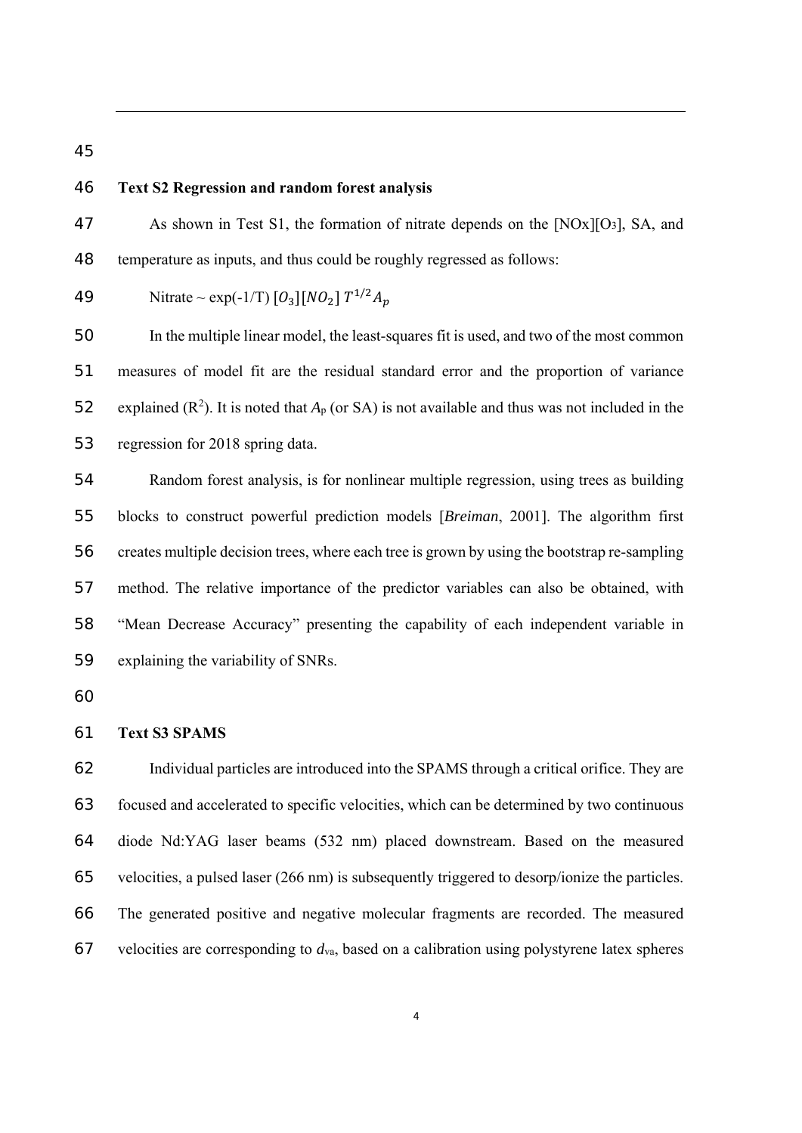## **Text S2 Regression and random forest analysis**

As shown in Test S1, the formation of nitrate depends on the [NOx][O3], SA, and temperature as inputs, and thus could be roughly regressed as follows:

49 Nitrate ~ exp(-1/T) 
$$
[O_3][NO_2] T^{1/2}A_p
$$

In the multiple linear model, the least-squares fit is used, and two of the most common measures of model fit are the residual standard error and the proportion of variance 52 explained  $(R^2)$ . It is noted that  $A_p$  (or SA) is not available and thus was not included in the regression for 2018 spring data.

Random forest analysis, is for nonlinear multiple regression, using trees as building blocks to construct powerful prediction models [*Breiman*, 2001]. The algorithm first creates multiple decision trees, where each tree is grown by using the bootstrap re-sampling method. The relative importance of the predictor variables can also be obtained, with "Mean Decrease Accuracy" presenting the capability of each independent variable in explaining the variability of SNRs.

### **Text S3 SPAMS**

Individual particles are introduced into the SPAMS through a critical orifice. They are focused and accelerated to specific velocities, which can be determined by two continuous diode Nd:YAG laser beams (532 nm) placed downstream. Based on the measured velocities, a pulsed laser (266 nm) is subsequently triggered to desorp/ionize the particles. The generated positive and negative molecular fragments are recorded. The measured velocities are corresponding to *d*va, based on a calibration using polystyrene latex spheres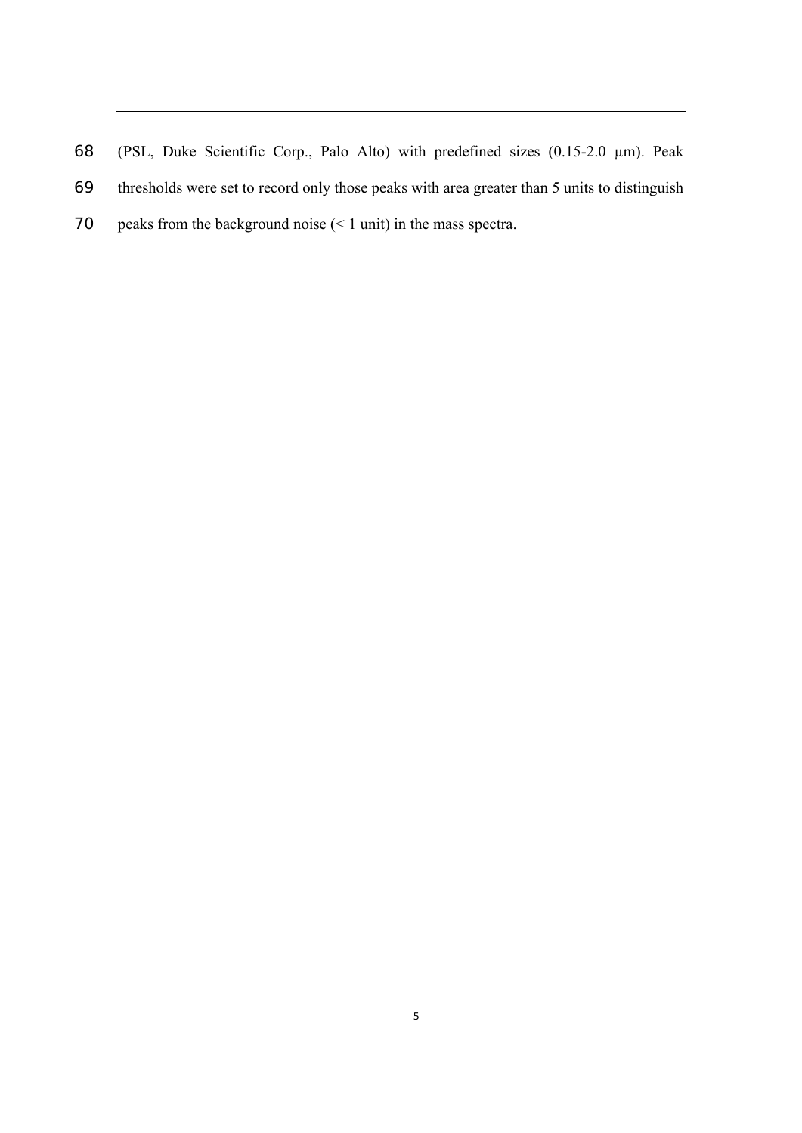(PSL, Duke Scientific Corp., Palo Alto) with predefined sizes (0.15-2.0 µm). Peak thresholds were set to record only those peaks with area greater than 5 units to distinguish peaks from the background noise (< 1 unit) in the mass spectra.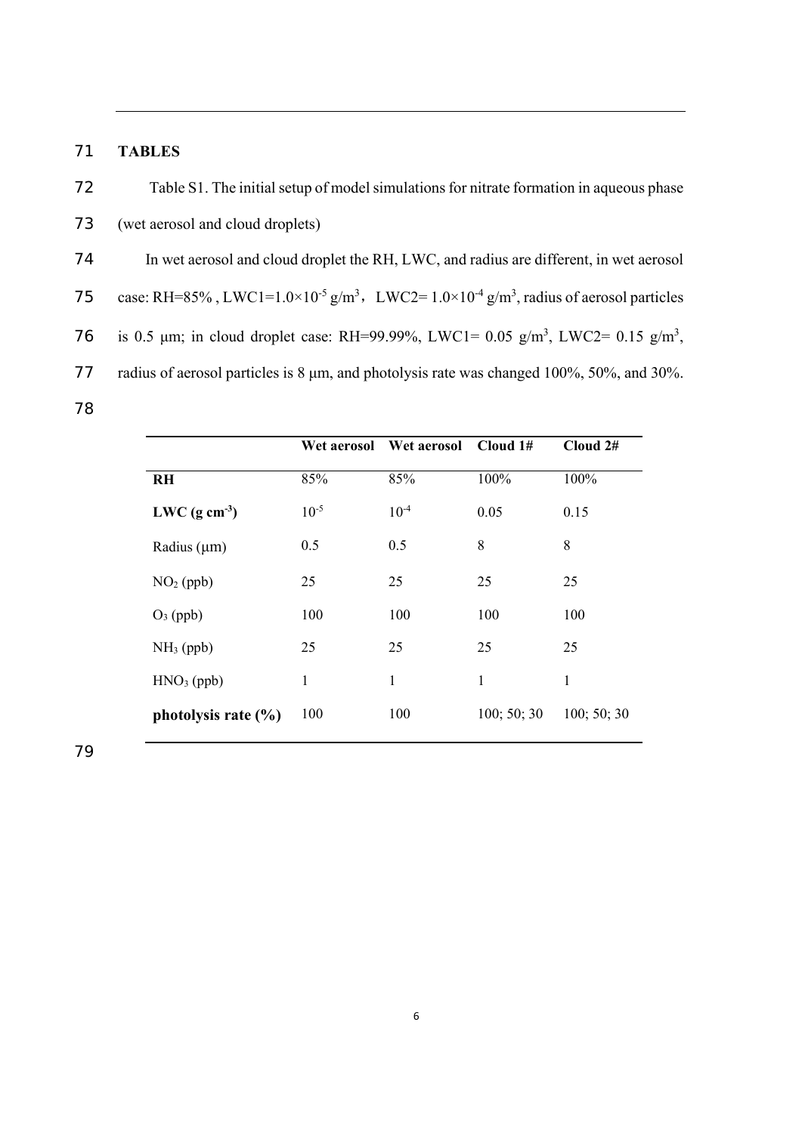## 71 **TABLES**

72 Table S1. The initial setup of model simulations for nitrate formation in aqueous phase 73 (wet aerosol and cloud droplets) 74 In wet aerosol and cloud droplet the RH, LWC, and radius are different, in wet aerosol 75 case: RH=85%, LWC1=1.0×10<sup>-5</sup> g/m<sup>3</sup>, LWC2=1.0×10<sup>-4</sup> g/m<sup>3</sup>, radius of aerosol particles 76 is 0.5  $\mu$ m; in cloud droplet case: RH=99.99%, LWC1= 0.05 g/m<sup>3</sup>, LWC2= 0.15 g/m<sup>3</sup>, 77 radius of aerosol particles is 8 μm, and photolysis rate was changed 100%, 50%, and 30%. 78

|                           | Wet aerosol | Wet aerosol | Cloud 1#    | Cloud 2#    |
|---------------------------|-------------|-------------|-------------|-------------|
| <b>RH</b>                 | 85%         | 85%         | 100%        | 100%        |
| LWC $(g \text{ cm}^{-3})$ | $10^{-5}$   | $10^{-4}$   | 0.05        | 0.15        |
| Radius $(\mu m)$          | 0.5         | 0.5         | 8           | 8           |
| $NO2$ (ppb)               | 25          | 25          | 25          | 25          |
| $O_3$ (ppb)               | 100         | 100         | 100         | 100         |
| $NH3$ (ppb)               | 25          | 25          | 25          | 25          |
| $HNO3$ (ppb)              | 1           | 1           | 1           | 1           |
| photolysis rate $(\% )$   | 100         | 100         | 100; 50; 30 | 100; 50; 30 |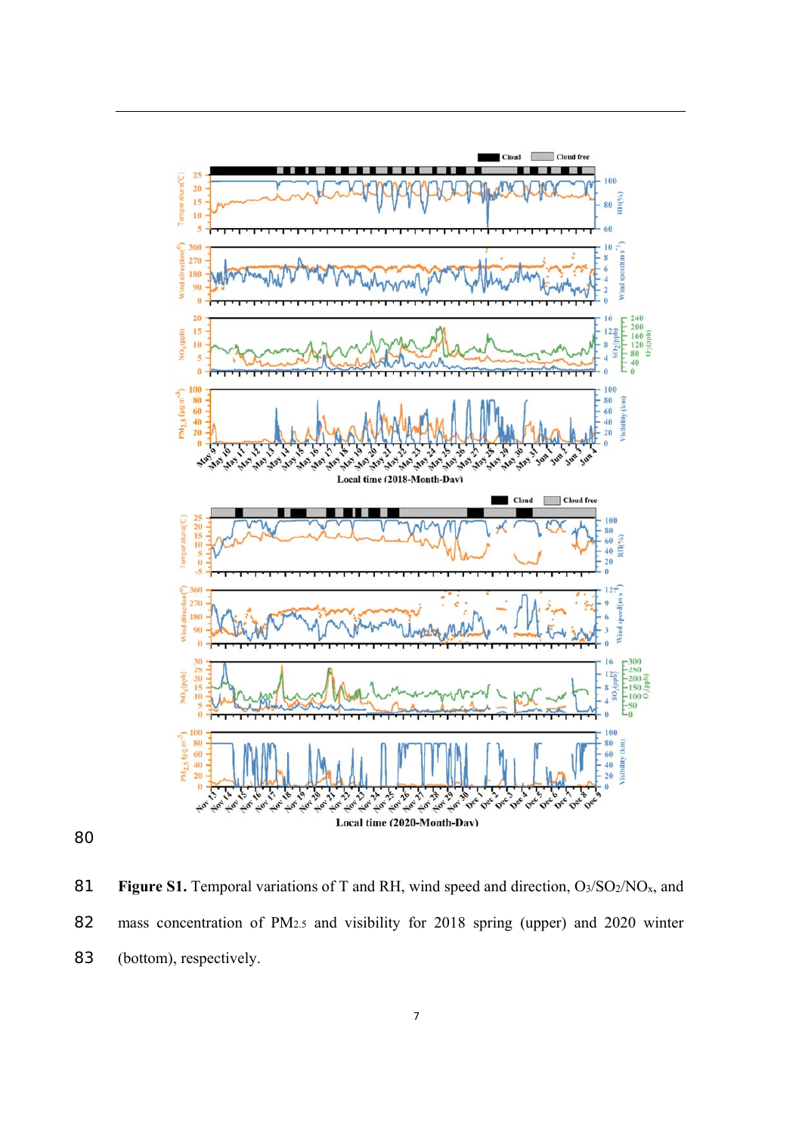

81 **Figure S1.** Temporal variations of T and RH, wind speed and direction, O<sub>3</sub>/SO<sub>2</sub>/NO<sub>x</sub>, and mass concentration of PM2.5 and visibility for 2018 spring (upper) and 2020 winter (bottom), respectively.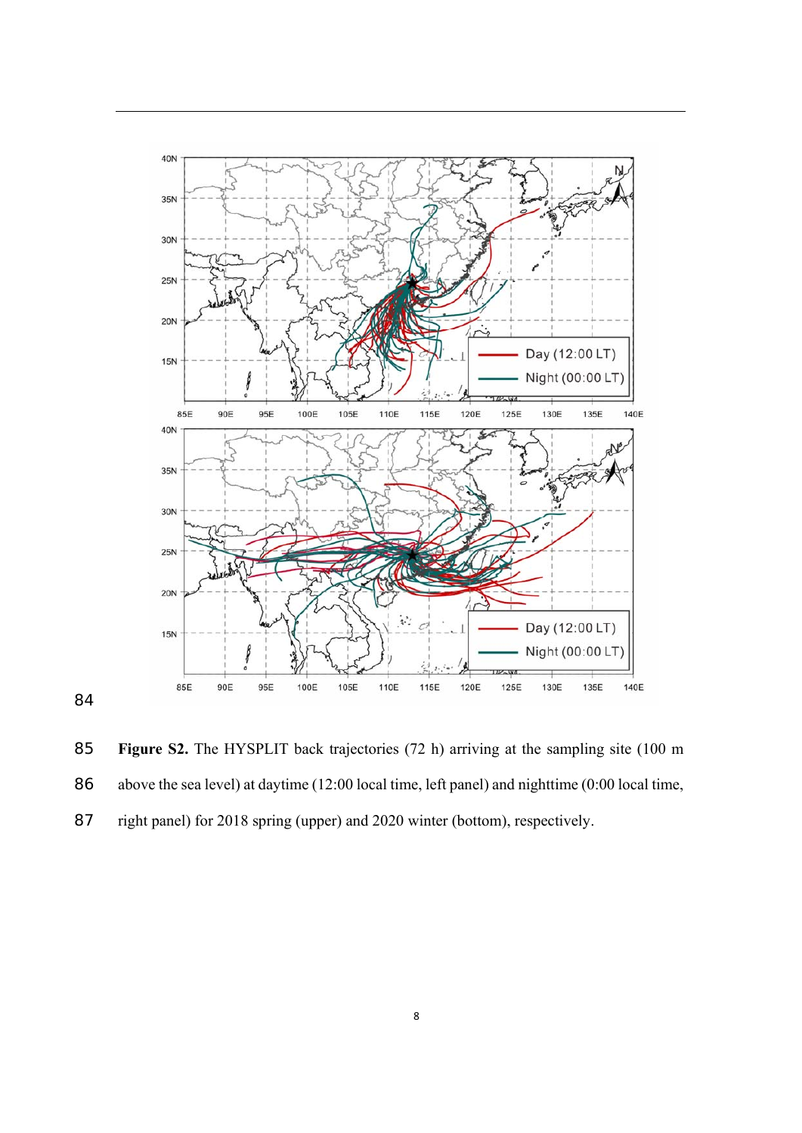

**Figure S2.** The HYSPLIT back trajectories (72 h) arriving at the sampling site (100 m above the sea level) at daytime (12:00 local time, left panel) and nighttime (0:00 local time, right panel) for 2018 spring (upper) and 2020 winter (bottom), respectively.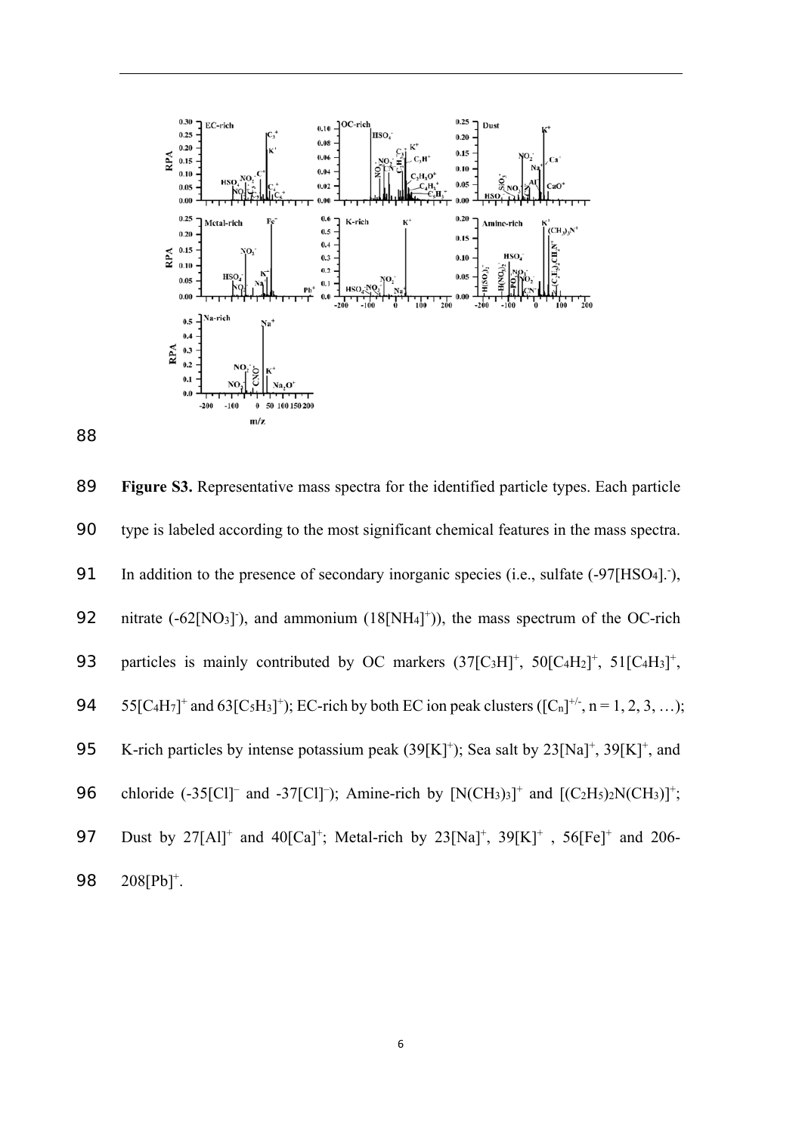

89 **Figure S3.** Representative mass spectra for the identified particle types. Each particle 90 type is labeled according to the most significant chemical features in the mass spectra. 91 In addition to the presence of secondary inorganic species (i.e., sulfate (-97[HSO<sub>4</sub>].), 92 nitrate  $(-62[NO_3])$ , and ammonium  $(18[NH_4]^+)$ , the mass spectrum of the OC-rich 93 particles is mainly contributed by OC markers  $(37[C<sub>3</sub>H]<sup>+</sup>, 50[C<sub>4</sub>H<sub>2</sub>]<sup>+</sup>, 51[C<sub>4</sub>H<sub>3</sub>]<sup>+</sup>,$ 94 55[C<sub>4</sub>H<sub>7</sub>]<sup>+</sup> and 63[C<sub>5</sub>H<sub>3</sub>]<sup>+</sup>); EC-rich by both EC ion peak clusters ([C<sub>n</sub>]<sup>+/-</sup>, n = 1, 2, 3, ...); 95 K-rich particles by intense potassium peak  $(39[K]^+)$ ; Sea salt by  $23[Na]^+, 39[K]^+,$  and 96 chloride  $(-35\text{[Cl]}^-$  and  $-37\text{[Cl]}^-$ ; Amine-rich by  $[N(CH_3)_3]^+$  and  $[(C_2H_5)_2N(CH_3)]^+$ ; 97 Dust by  $27[A1]^+$  and  $40[Ca]^+$ ; Metal-rich by  $23[Na]^+$ ,  $39[K]^+$ ,  $56[Fe]^+$  and  $206$ -98 208[Pb]<sup>+</sup>.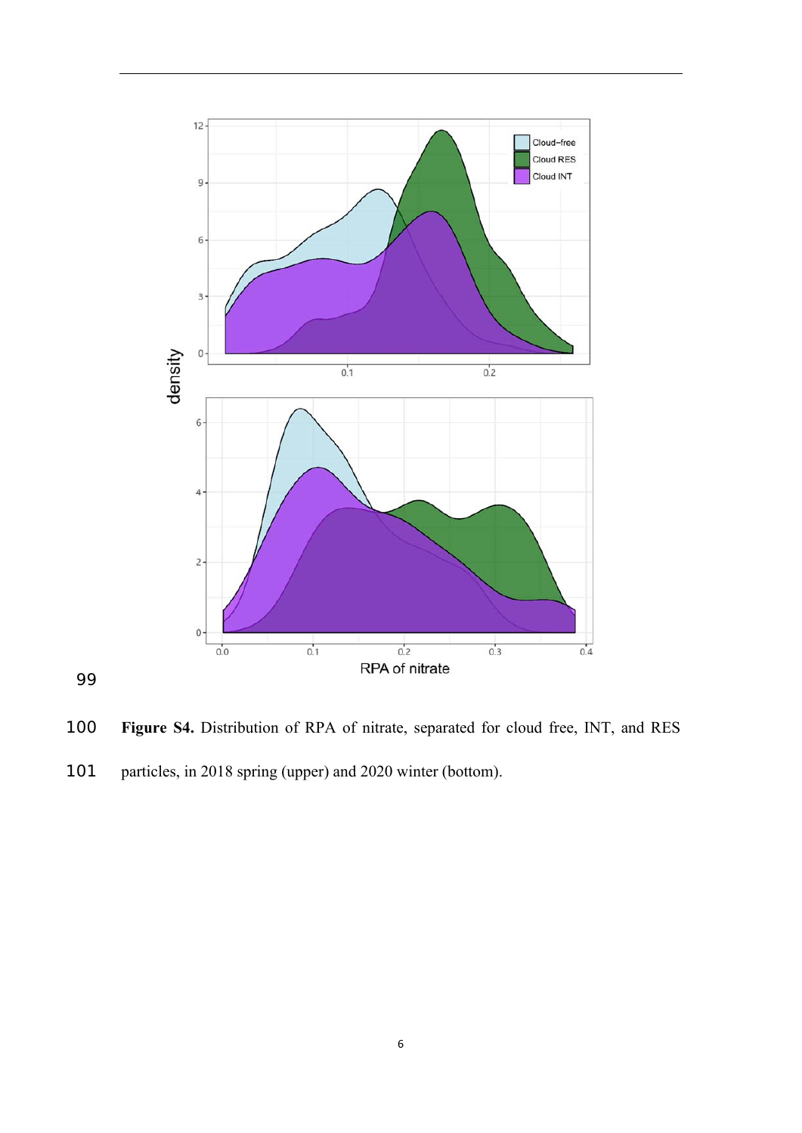

**Figure S4.** Distribution of RPA of nitrate, separated for cloud free, INT, and RES

101 particles, in 2018 spring (upper) and 2020 winter (bottom).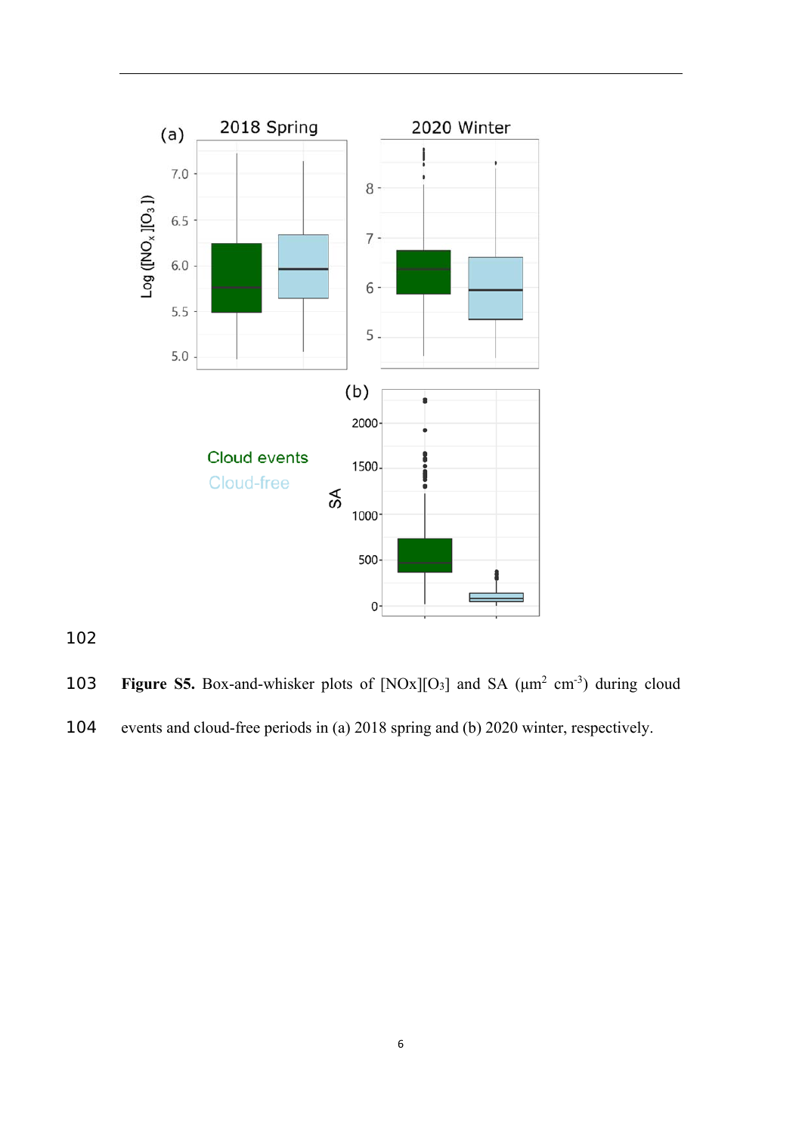![](_page_10_Figure_0.jpeg)

**103** Figure S5. Box-and-whisker plots of  $[NOx][O<sub>3</sub>]$  and SA  $(\mu m^2 \text{ cm}^{-3})$  during cloud events and cloud-free periods in (a) 2018 spring and (b) 2020 winter, respectively.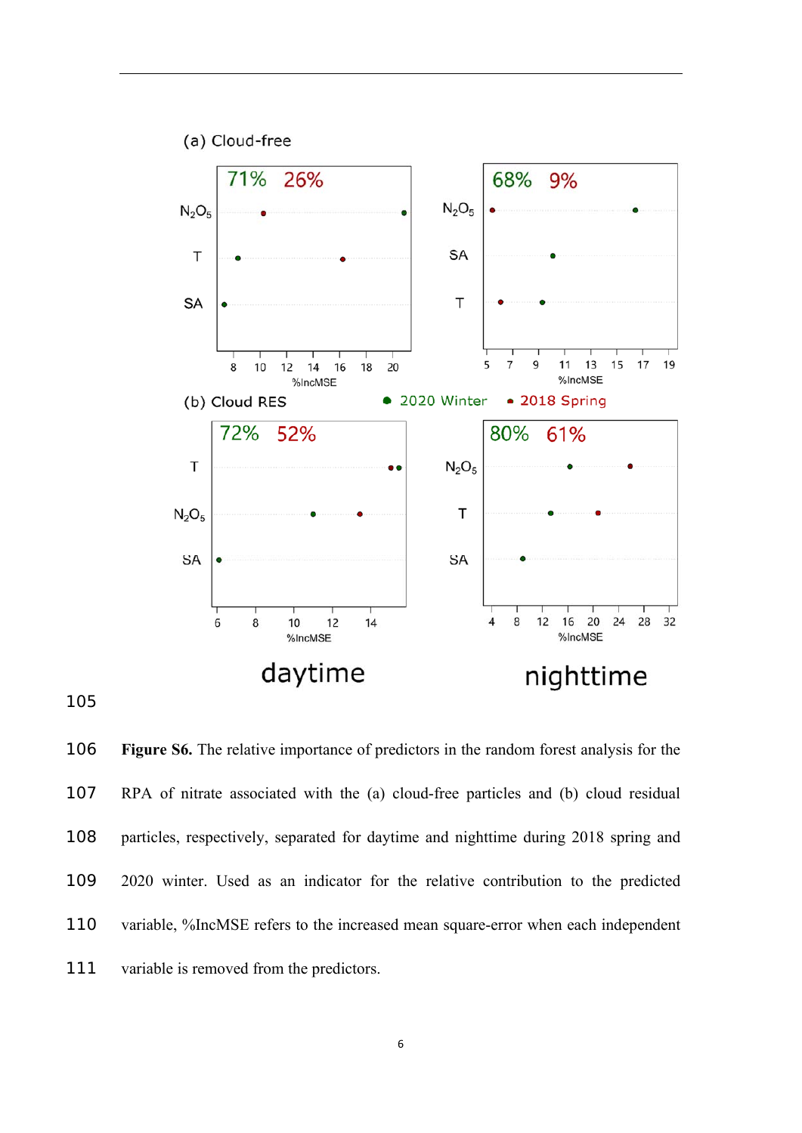![](_page_11_Figure_0.jpeg)

**Figure S6.** The relative importance of predictors in the random forest analysis for the RPA of nitrate associated with the (a) cloud-free particles and (b) cloud residual particles, respectively, separated for daytime and nighttime during 2018 spring and 2020 winter. Used as an indicator for the relative contribution to the predicted variable, %IncMSE refers to the increased mean square-error when each independent 111 variable is removed from the predictors.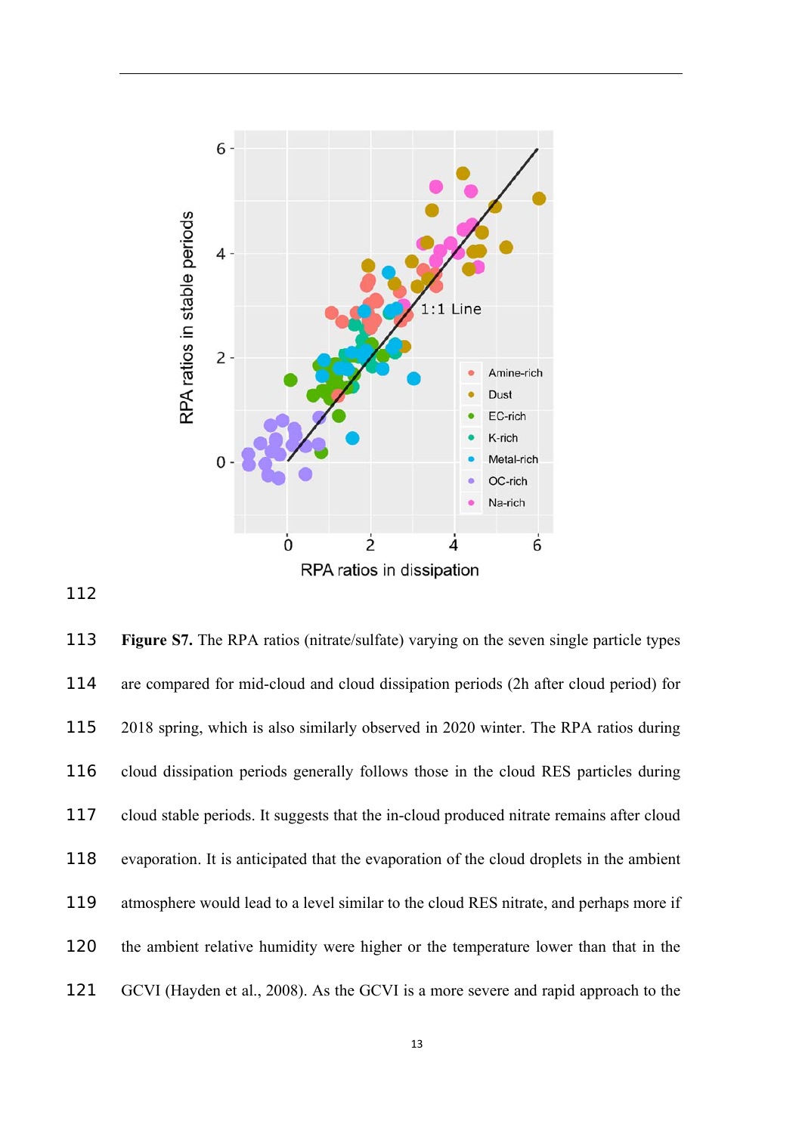![](_page_12_Figure_0.jpeg)

**Figure S7.** The RPA ratios (nitrate/sulfate) varying on the seven single particle types are compared for mid-cloud and cloud dissipation periods (2h after cloud period) for 2018 spring, which is also similarly observed in 2020 winter. The RPA ratios during cloud dissipation periods generally follows those in the cloud RES particles during cloud stable periods. It suggests that the in-cloud produced nitrate remains after cloud evaporation. It is anticipated that the evaporation of the cloud droplets in the ambient atmosphere would lead to a level similar to the cloud RES nitrate, and perhaps more if the ambient relative humidity were higher or the temperature lower than that in the GCVI (Hayden et al., 2008). As the GCVI is a more severe and rapid approach to the